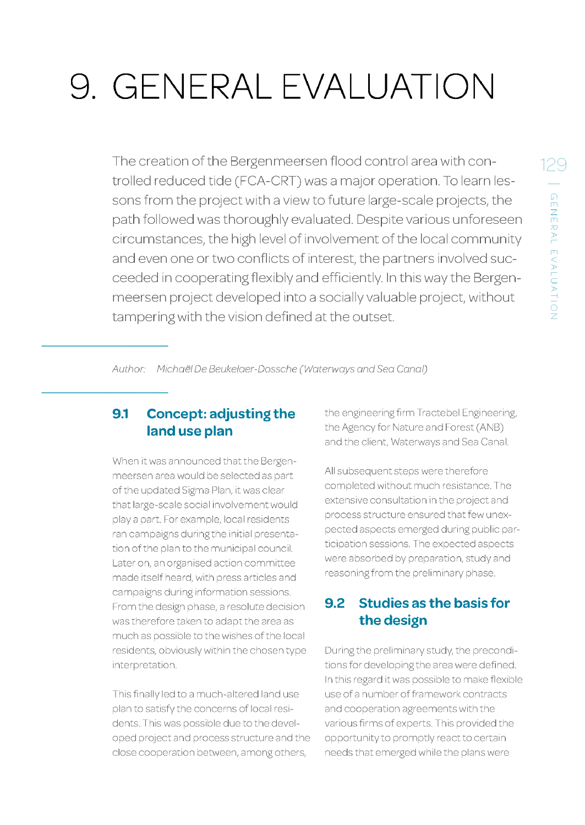# 9. GENERAL EVALUATION

The creation of the Bergen meersen flood control area with controlled reduced tide (FCA-CRT) was a major operation. To learn lessons from the project with a view to future large-scale projects, the path followed was thoroughly evaluated. Despite various unforeseen circumstances, the high level of involvement of the local community and even one or two conflicts of interest, the partners involved succeeded in cooperating flexibly and efficiently. In this way the Bergenmeersen project developed into a socially valuable project, without tampering with the vision defined at the outset.

Author: Michael De Beukelaer-Dossche (Waterways and Sea Canal)

#### **9.1 Concept: adjusting the land use plan**

When it was announced that the Bergenmeersen area would be selected as part of the updated Sigma Plan, it was clear that large-scale social involvement would playa part. For example, local residents ran campaigns during the initial presentation of the plan to the municipal council. Later on, an organised action committee made itself heard, with press articles and campaigns during information sessions. From the design phase, a resolute decision was therefore taken to adapt the area as much as possible to the wishes of the local residents, obviously within the chosen type interpretation.

This finally led to a much-altered land use plan to satisfy the concerns of local residents. This was possible due to the developed project and process structure and the close cooperation between, among others,

the engineering firm Tractebel Engineering, the Agency for Nature and Forest (ANB) and the client, Waterways and Sea Canal.

All subsequent steps were therefore completed without much resistance. The extensive consultation in the project and process structure ensured that few unexpected aspects emerged during public participation sessions. The expected aspects were absorbed by preparation, study and reasoning from the preliminary phase.

## **9.2 Studies as the basis for the design**

During the preliminary study, the preconditions for developing the area were defined. In this regard it was possible to make flexible use of a number of framework contracts and cooperation agreements with the various firms of experts. This provided the opportunity to promptly react to certain needs that emerged while the plans were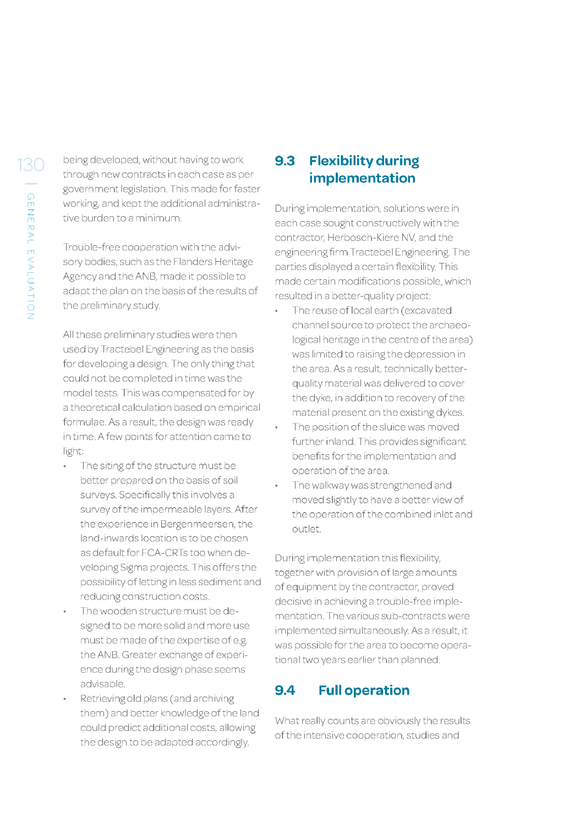being developed, without having to work through new contracts in each case as per government legislation. This made for faster working, and kept the additional administrative burden to a minimum.

Trouble-free cooperation with the advisory bodies, such as the Flanders Heritage Agency and the ANB, made it possible to adapt the plan on the basis of the results of the preliminary study.

All these preliminary studies were then used byTractebel Engineering as the basis for developing a design. The only thing that could not be completed in time was the model tests. This was compensated for by a theoretical calculation based on empirical formulae. As a result, the design was ready in time. A few points for attention came to light:

- The siting of the structure must be  $\ddot{\phantom{0}}$ better prepared on the basis of soil surveys. Specifically this involves a survey of the impermeable layers. After the experience in Bergenmeersen, the land-inwards location is to be chosen as default for FCA-CRTs too when developing Sigma projects. This offers the possibility of letting in less sediment and reducing construction costs.
- The wooden structure must be designed to be more solid and more use must be made of the expertise of e.g. the ANB. Greater exchange of experience during the design phase seems advisable.
- Retrievingold plans (and archiving them) and better knowledge of the land could predict additional costs, allowing the design to be adapted accordingly.

#### **9.3 Flexibility during implementation**

During implementation, solutions were in each case sought constructively with the contractor, Herbosch-Kiere NV, and the engineering firm Tractebel Engineering. The parties displayed a certain flexibility. This made certain modifications possible, which resulted in a better-quality project:

- The reuse of local earth (excavated channel source to protect the archaeological heritage in the centre of the area) was limited to raising the depression in the area. As a result, technically betterquality material was delivered to cover the dyke, in addition to recovery of the material present on the existing dykes.
- The position of the sluice was moved further inland. This provides significant benefits for the implementation and operation of the area.
- The walkway was strengthened and moved slightly to have a better view of the operation of the combined inlet and outlet.

During implementation this flexibility, together with provision of large amounts of equipment by the contractor, proved decisive in achievinga trouble-free im plementation. The various sub-contracts were implemented simultaneously. As a result, it was possible for the area to become operational two years earlier than planned.

### **9.4 Full operation**

What really counts are obviously the results of the intensive cooperation, studies and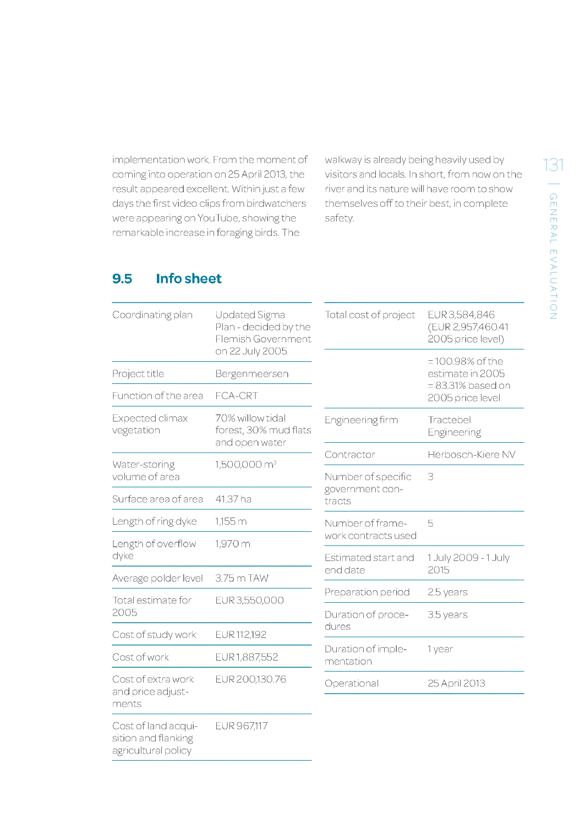implementation work. From the moment of coming into operation on 25 April 2013, the result appeared excellent. Within just a few days the first video clips from birdwatchers were appearing on YouTube, showing the remarkable increase in foraging birds. The

walkway is already being heavily used by visitors and locals. In short, from now on the river and its nature will have room to show themselves off to their best, in complete safety.

## **9.5 Info sheet**

| Coordinating plan                                                 | Updated Sigma<br>Plan - decided by the<br>Flemish Government | Total cost of project           | EUR 3,584,846<br>(EUR 2,957,460.41<br>2005 price level)<br>$= 100.98\%$ of the<br>estimate in 2005<br>= 83.31% based on<br>2005 price level |  |
|-------------------------------------------------------------------|--------------------------------------------------------------|---------------------------------|---------------------------------------------------------------------------------------------------------------------------------------------|--|
| Project title                                                     | on 22 July 2005<br>Bergenmeersen                             |                                 |                                                                                                                                             |  |
| Function of the area                                              | <b>FCA-CRT</b>                                               |                                 |                                                                                                                                             |  |
| Expected climax<br>vegetation                                     | 70% willow tidal<br>forest, 30% mud flats<br>and open water  | Engineering firm                | Tractebel<br>Engineering                                                                                                                    |  |
| Water-storing<br>volume of area                                   |                                                              | Contractor                      | Herbosch-Kiere NV                                                                                                                           |  |
|                                                                   | 1,500,000 m <sup>3</sup>                                     | Number of specific              | 3                                                                                                                                           |  |
| Surface area of area                                              | 41.37 ha                                                     | government con-<br>tracts       |                                                                                                                                             |  |
| Length of ring dyke                                               | 1,155 m                                                      | Number of frame-                | 5                                                                                                                                           |  |
| Length of overflow<br>dyke                                        | 1,970 m                                                      | work contracts used             |                                                                                                                                             |  |
|                                                                   |                                                              | Estimated start and             | 1 July 2009 - 1 July<br>2015                                                                                                                |  |
| Average polder level                                              | 3.75 m TAW                                                   | end date                        |                                                                                                                                             |  |
| Total estimate for<br>2005                                        | EUR 3,550,000                                                | Preparation period              | 2.5 years                                                                                                                                   |  |
|                                                                   |                                                              | Duration of proce-              | 3.5 years                                                                                                                                   |  |
| Cost of study work                                                | EUR 112,192                                                  | dures                           |                                                                                                                                             |  |
| Cost of work                                                      | EUR1,887,552                                                 | Duration of imple-<br>mentation | 1 year                                                                                                                                      |  |
| Cost of extra work<br>and price adjust-                           | EUR 200,130.76                                               | Operational                     | 25 April 2013                                                                                                                               |  |
| ments                                                             |                                                              |                                 |                                                                                                                                             |  |
| Cost of land acqui-<br>sition and flanking<br>agricultural policy | EUR 967,117                                                  |                                 |                                                                                                                                             |  |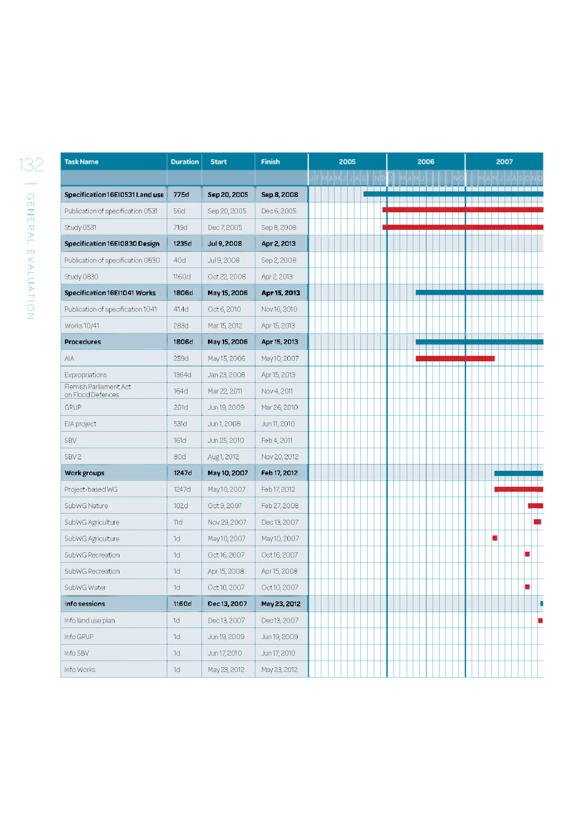| <b>Task Name</b>                            | <b>Duration</b> | <b>Start</b> | <b>Finish</b> | 2005 | 2006 | 2007 |
|---------------------------------------------|-----------------|--------------|---------------|------|------|------|
|                                             |                 |              |               |      |      |      |
| Specification 16EI0531 Land use             | 775d            | Sep 20, 2005 | Sep 8, 2008   |      |      |      |
| Publication of specification 0531           | 56d             | Sep 20, 2005 | Dec 6, 2005   |      |      |      |
| Study 0531                                  | 719d            | Dec 7, 2005  | Sep 8, 2008   |      |      |      |
| Specification 16EI0830 Design               | 1235d           | Jul 9, 2008  | Apr 2, 2013   |      |      |      |
| Publication of specification 0830           | 40d             | Jul 9, 2008  | Sep 2, 2008   |      |      |      |
| Study 0830                                  | 1160d           | Oct 22, 2008 | Apr 2, 2013   |      |      |      |
| Specification 16El1041 Works                | 1806d           | May 15, 2006 | Apr 15, 2013  |      |      |      |
| Publication of specification 1041           | 41.4d           | Oct 6, 2010  | Nov 16, 2010  |      |      |      |
| Works 10/41                                 | 283d            | Mar 15, 2012 | Apr 15, 2013  |      |      |      |
| Procedures                                  | 1806d           | May 15, 2006 | Apr 15, 2013  |      |      |      |
| AIA                                         | 259d            | May 15, 2006 | May 10, 2007  |      |      |      |
| Expropriations                              | 1364d           | Jan 23, 2008 | Apr 15, 2013  |      |      |      |
| Flemish Parliament Act<br>on Flood Defences | 164d            | Mar 22, 2011 | Nov 4, 2011   |      |      |      |
| GRUP                                        | 201d            | Jun 19, 2009 | Mar 26, 2010  |      |      |      |
| EIA project                                 | 531d            | Jun 1, 2008  | Jun 11, 2010  |      |      |      |
| SBV                                         | 161d            | Jun 25, 2010 | Feb 4, 2011   |      |      |      |
| SBV <sub>2</sub>                            | 80d             | Aug 1, 2012  | Nov 20, 2012  |      |      |      |
| <b>Work groups</b>                          | 1247d           | May 10, 2007 | Feb 17, 2012  |      |      |      |
| Project-based WG                            | 1247d           | May 10, 2007 | Feb 17, 2012  |      |      |      |
| SubWG Nature                                | 102d            | Oct 9, 2007  | Feb 27, 2008  |      |      |      |
| SubWG Agriculture                           | 11d             | Nov 29, 2007 | Dec 13, 2007  |      |      |      |
| SubWG Agriculture                           | 1d              | May 10, 2007 | May 10, 2007  |      |      |      |
| SubWG Recreation                            | 1d              | Oct 16, 2007 | Oct 16, 2007  |      |      |      |
| SubWG Recreation                            | 1d              | Apr 15, 2008 | Apr 15, 2008  |      |      |      |
| SubWG Water                                 | 1d              | Oct 10, 2007 | Oct 10, 2007  |      |      |      |
| Info sessions                               | <b>1160d</b>    | Dec 13, 2007 | May 23, 2012  |      |      | r    |
| Info land use plan                          | 1d              | Dec 13, 2007 | Dec 13, 2007  |      |      |      |
| Info GRUP                                   | 1d              | Jun 19, 2009 | Jun 19, 2009  |      |      |      |
| Info SBV                                    | 1d              | Jun 17, 2010 | Jun 17, 2010  |      |      |      |
| Info Works                                  | 1d              | May 23, 2012 | May 23, 2012  |      |      |      |